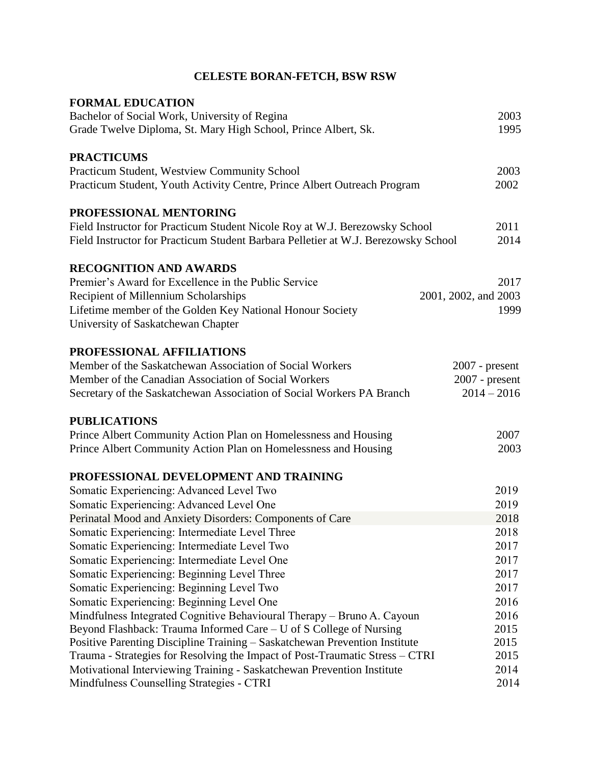| <b>FORMAL EDUCATION</b><br>Bachelor of Social Work, University of Regina<br>Grade Twelve Diploma, St. Mary High School, Prince Albert, Sk. | 2003<br>1995         |
|--------------------------------------------------------------------------------------------------------------------------------------------|----------------------|
| <b>PRACTICUMS</b>                                                                                                                          |                      |
| Practicum Student, Westview Community School                                                                                               | 2003                 |
| Practicum Student, Youth Activity Centre, Prince Albert Outreach Program                                                                   | 2002                 |
| PROFESSIONAL MENTORING                                                                                                                     |                      |
| Field Instructor for Practicum Student Nicole Roy at W.J. Berezowsky School                                                                | 2011                 |
| Field Instructor for Practicum Student Barbara Pelletier at W.J. Berezowsky School                                                         | 2014                 |
| <b>RECOGNITION AND AWARDS</b>                                                                                                              |                      |
| Premier's Award for Excellence in the Public Service                                                                                       | 2017                 |
| Recipient of Millennium Scholarships                                                                                                       | 2001, 2002, and 2003 |
| Lifetime member of the Golden Key National Honour Society                                                                                  | 1999                 |
| University of Saskatchewan Chapter                                                                                                         |                      |
| PROFESSIONAL AFFILIATIONS                                                                                                                  |                      |
| Member of the Saskatchewan Association of Social Workers                                                                                   | $2007$ - present     |
| Member of the Canadian Association of Social Workers                                                                                       | $2007$ - present     |
| Secretary of the Saskatchewan Association of Social Workers PA Branch                                                                      | $2014 - 2016$        |
| <b>PUBLICATIONS</b>                                                                                                                        |                      |
| Prince Albert Community Action Plan on Homelessness and Housing                                                                            | 2007                 |
| Prince Albert Community Action Plan on Homelessness and Housing                                                                            | 2003                 |
| PROFESSIONAL DEVELOPMENT AND TRAINING                                                                                                      |                      |
| Somatic Experiencing: Advanced Level Two                                                                                                   | 2019                 |
| Somatic Experiencing: Advanced Level One                                                                                                   | 2019                 |
| Perinatal Mood and Anxiety Disorders: Components of Care                                                                                   | 2018                 |
| Somatic Experiencing: Intermediate Level Three                                                                                             | 2018                 |
| Somatic Experiencing: Intermediate Level Two                                                                                               | 2017                 |
| Somatic Experiencing: Intermediate Level One                                                                                               | 2017                 |
| Somatic Experiencing: Beginning Level Three                                                                                                | 2017                 |
| Somatic Experiencing: Beginning Level Two                                                                                                  | 2017                 |
| Somatic Experiencing: Beginning Level One                                                                                                  | 2016                 |
| Mindfulness Integrated Cognitive Behavioural Therapy - Bruno A. Cayoun                                                                     | 2016                 |
| Beyond Flashback: Trauma Informed Care – U of S College of Nursing                                                                         | 2015                 |
| Positive Parenting Discipline Training - Saskatchewan Prevention Institute                                                                 | 2015                 |
| Trauma - Strategies for Resolving the Impact of Post-Traumatic Stress – CTRI                                                               | 2015                 |
| Motivational Interviewing Training - Saskatchewan Prevention Institute                                                                     | 2014<br>2014         |
| Mindfulness Counselling Strategies - CTRI                                                                                                  |                      |

## **CELESTE BORAN-FETCH, BSW RSW**